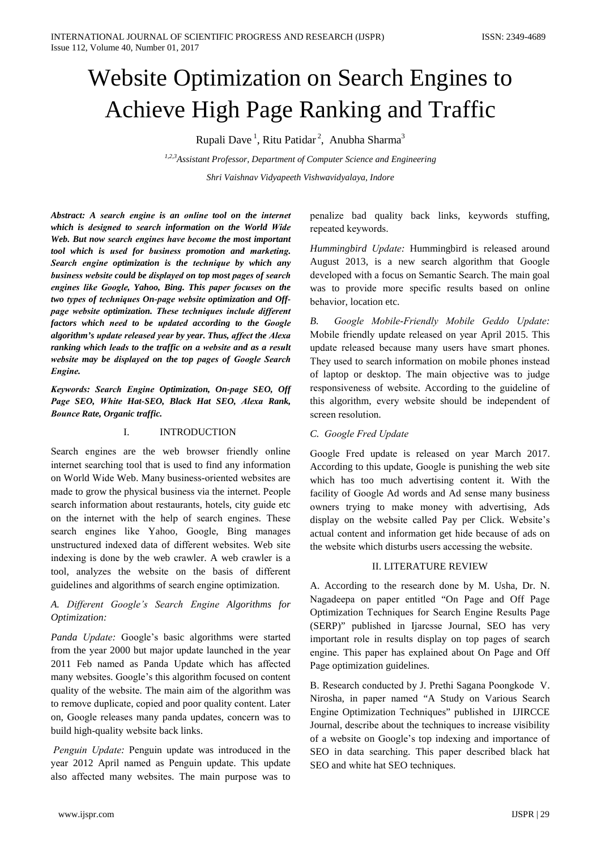# **Website Optimization on Search Engines to** Achieve High Page Ranking and Traffic

Rupali Dave<sup>1</sup>, Ritu Patidar<sup>2</sup>, Anubha Sharma<sup>3</sup>

1,2,3 Assistant Professor, Department of Computer Science and Engineering Shri Vaishnav Vidyapeeth Vishwavidyalaya, Indore

Abstract: A search engine is an online tool on the internet which is designed to search information on the World Wide Web. But now search engines have become the most important tool which is used for business promotion and marketing. Search engine optimization is the technique by which any business website could be displayed on top most pages of search engines like Google, Yahoo, Bing. This paper focuses on the two types of techniques On-page website optimization and Offpage website optimization. These techniques include different factors which need to be updated according to the Google algorithm's update released year by year. Thus, affect the Alexa ranking which leads to the traffic on a website and as a result website may be displayed on the top pages of Google Search Engine.

Keywords: Search Engine Optimization, On-page SEO, Off Page SEO, White Hat-SEO, Black Hat SEO, Alexa Rank, **Bounce Rate, Organic traffic.** 

#### **INTRODUCTION**  $\mathbf{I}$

Search engines are the web browser friendly online internet searching tool that is used to find any information on World Wide Web. Many business-oriented websites are made to grow the physical business via the internet. People search information about restaurants, hotels, city guide etc on the internet with the help of search engines. These search engines like Yahoo, Google, Bing manages unstructured indexed data of different websites. Web site indexing is done by the web crawler. A web crawler is a tool, analyzes the website on the basis of different guidelines and algorithms of search engine optimization.

#### A. Different Google's Search Engine Algorithms for Optimization:

Panda Update: Google's basic algorithms were started from the year 2000 but major update launched in the year 2011 Feb named as Panda Update which has affected many websites. Google's this algorithm focused on content quality of the website. The main aim of the algorithm was to remove duplicate, copied and poor quality content. Later on, Google releases many panda updates, concern was to build high-quality website back links.

Penguin Update: Penguin update was introduced in the year 2012 April named as Penguin update. This update also affected many websites. The main purpose was to

penalize bad quality back links, keywords stuffing, repeated keywords.

Hummingbird Update: Hummingbird is released around August 2013, is a new search algorithm that Google developed with a focus on Semantic Search. The main goal was to provide more specific results based on online behavior, location etc.

Google Mobile-Friendly Mobile Geddo Update: **B.** Mobile friendly update released on year April 2015. This update released because many users have smart phones. They used to search information on mobile phones instead of laptop or desktop. The main objective was to judge responsiveness of website. According to the guideline of this algorithm, every website should be independent of screen resolution.

#### C. Google Fred Update

Google Fred update is released on year March 2017. According to this update, Google is punishing the web site which has too much advertising content it. With the facility of Google Ad words and Ad sense many business owners trying to make money with advertising, Ads display on the website called Pay per Click. Website's actual content and information get hide because of ads on the website which disturbs users accessing the website.

#### **II. LITERATURE REVIEW**

A. According to the research done by M. Usha, Dr. N. Nagadeepa on paper entitled "On Page and Off Page Optimization Techniques for Search Engine Results Page (SERP)" published in Ijarcsse Journal, SEO has very important role in results display on top pages of search engine. This paper has explained about On Page and Off Page optimization guidelines.

B. Research conducted by J. Prethi Sagana Poongkode V. Nirosha, in paper named "A Study on Various Search Engine Optimization Techniques" published in IJIRCCE Journal, describe about the techniques to increase visibility of a website on Google's top indexing and importance of SEO in data searching. This paper described black hat SEO and white hat SEO techniques.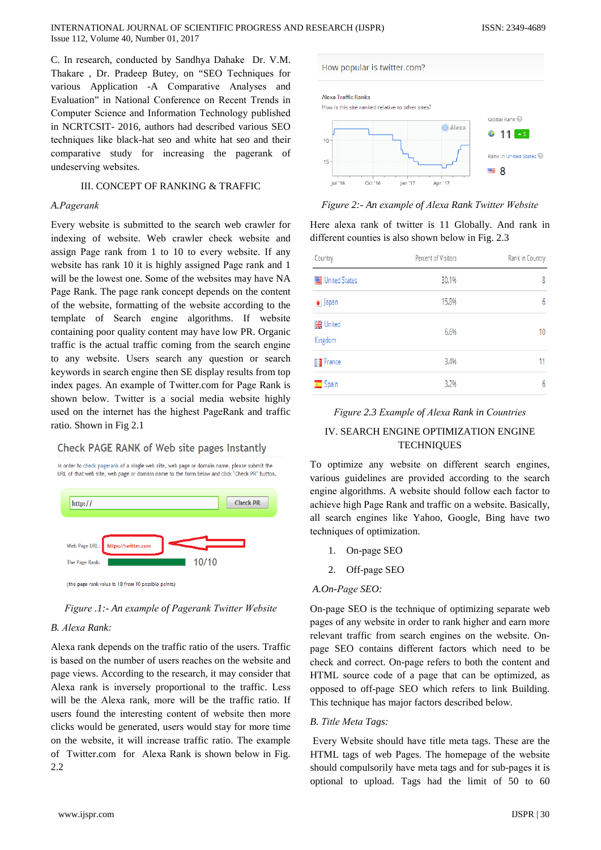C. In research, conducted by Sandhya Dahake Dr. V.M. Thakare, Dr. Pradeep Butey, on "SEO Techniques for various Application -A Comparative Analyses and Evaluation" in National Conference on Recent Trends in Computer Science and Information Technology published in NCRTCSIT-2016, authors had described various SEO techniques like black-hat seo and white hat seo and their comparative study for increasing the pagerank of undeserving websites.

#### **III. CONCEPT OF RANKING & TRAFFIC**

#### A.Pagerank

Every website is submitted to the search web crawler for indexing of website. Web crawler check website and assign Page rank from 1 to 10 to every website. If any website has rank 10 it is highly assigned Page rank and 1 will be the lowest one. Some of the websites may have NA Page Rank. The page rank concept depends on the content of the website, formatting of the website according to the template of Search engine algorithms. If website containing poor quality content may have low PR. Organic traffic is the actual traffic coming from the search engine to any website. Users search any question or search keywords in search engine then SE display results from top index pages. An example of Twitter.com for Page Rank is shown below. Twitter is a social media website highly used on the internet has the highest PageRank and traffic ratio. Shown in Fig 2.1

#### **Check PAGE RANK of Web site pages Instantly**



Figure .1: - An example of Pagerank Twitter Website

#### B. Alexa Rank:

Alexa rank depends on the traffic ratio of the users. Traffic is based on the number of users reaches on the website and page views. According to the research, it may consider that Alexa rank is inversely proportional to the traffic. Less will be the Alexa rank, more will be the traffic ratio. If users found the interesting content of website then more clicks would be generated, users would stay for more time on the website, it will increase traffic ratio. The example of Twitter.com for Alexa Rank is shown below in Fig.  $2.2$ 



Figure 2:- An example of Alexa Rank Twitter Website

Here alexa rank of twitter is 11 Globally. And rank in different counties is also shown below in Fig. 2.3

| Country                     | Percent of Visitors | Rank in Country |
|-----------------------------|---------------------|-----------------|
| United States               | 30.1%               | 8               |
| $\bullet$ Japan             | 15.8%               | 6               |
| <b>WE</b> United<br>Kingdom | 6.6%                | 10              |
| <b>T</b> France             | 3.4%                | 11              |
| Spain                       | 3.2%                | 6               |

#### Figure 2.3 Example of Alexa Rank in Countries

### IV. SEARCH ENGINE OPTIMIZATION ENGINE **TECHNIQUES**

To optimize any website on different search engines, various guidelines are provided according to the search engine algorithms. A website should follow each factor to achieve high Page Rank and traffic on a website. Basically, all search engines like Yahoo, Google, Bing have two techniques of optimization.

- 1. On-page SEO
- Off-page SEO  $2.$

#### A.On-Page SEO:

On-page SEO is the technique of optimizing separate web pages of any website in order to rank higher and earn more relevant traffic from search engines on the website. Onpage SEO contains different factors which need to be check and correct. On-page refers to both the content and HTML source code of a page that can be optimized, as opposed to off-page SEO which refers to link Building. This technique has major factors described below.

#### B. Title Meta Tags:

Every Website should have title meta tags. These are the HTML tags of web Pages. The homepage of the website should compulsorily have meta tags and for sub-pages it is optional to upload. Tags had the limit of 50 to 60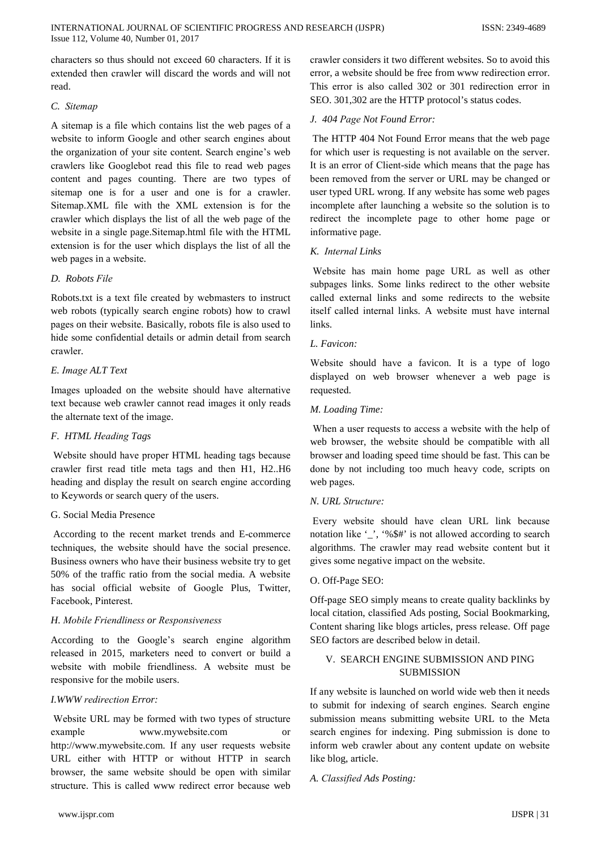characters so thus should not exceed 60 characters. If it is extended then crawler will discard the words and will not read

#### C. Sitemap

A sitemap is a file which contains list the web pages of a website to inform Google and other search engines about the organization of your site content. Search engine's web crawlers like Googlebot read this file to read web pages content and pages counting. There are two types of sitemap one is for a user and one is for a crawler. Sitemap.XML file with the XML extension is for the crawler which displays the list of all the web page of the website in a single page. Sitemap.html file with the HTML extension is for the user which displays the list of all the web pages in a website.

#### D. Robots File

Robots.txt is a text file created by webmasters to instruct web robots (typically search engine robots) how to crawl pages on their website. Basically, robots file is also used to hide some confidential details or admin detail from search crawler.

#### E. Image ALT Text

Images uploaded on the website should have alternative text because web crawler cannot read images it only reads the alternate text of the image.

#### F. HTML Heading Tags

Website should have proper HTML heading tags because crawler first read title meta tags and then H1, H2..H6 heading and display the result on search engine according to Keywords or search query of the users.

#### G. Social Media Presence

According to the recent market trends and E-commerce techniques, the website should have the social presence. Business owners who have their business website try to get 50% of the traffic ratio from the social media. A website has social official website of Google Plus, Twitter, Facebook, Pinterest.

#### H. Mobile Friendliness or Responsiveness

According to the Google's search engine algorithm released in 2015, marketers need to convert or build a website with mobile friendliness. A website must be responsive for the mobile users.

#### I. WWW redirection Error:

Website URL may be formed with two types of structure example www.mywebsite.com  $\alpha$ <sup>r</sup> http://www.mywebsite.com. If any user requests website URL either with HTTP or without HTTP in search browser, the same website should be open with similar structure. This is called www redirect error because web

crawler considers it two different websites. So to avoid this error, a website should be free from www redirection error. This error is also called 302 or 301 redirection error in SEO, 301,302 are the HTTP protocol's status codes.

#### J. 404 Page Not Found Error:

The HTTP 404 Not Found Error means that the web page for which user is requesting is not available on the server. It is an error of Client-side which means that the page has been removed from the server or URL may be changed or user typed URL wrong. If any website has some web pages incomplete after launching a website so the solution is to redirect the incomplete page to other home page or informative page.

#### K. Internal Links

Website has main home page URL as well as other subpages links. Some links redirect to the other website called external links and some redirects to the website itself called internal links. A website must have internal links

#### L. Favicon:

Website should have a favicon. It is a type of logo displayed on web browser whenever a web page is requested.

#### M. Loading Time:

When a user requests to access a website with the help of web browser, the website should be compatible with all browser and loading speed time should be fast. This can be done by not including too much heavy code, scripts on web pages.

#### N. URL Structure:

Every website should have clean URL link because notation like '\_', '%\$#' is not allowed according to search algorithms. The crawler may read website content but it gives some negative impact on the website.

#### O. Off-Page SEO:

Off-page SEO simply means to create quality backlinks by local citation, classified Ads posting, Social Bookmarking, Content sharing like blogs articles, press release. Off page SEO factors are described below in detail.

## V. SEARCH ENGINE SUBMISSION AND PING **SUBMISSION**

If any website is launched on world wide web then it needs to submit for indexing of search engines. Search engine submission means submitting website URL to the Meta search engines for indexing. Ping submission is done to inform web crawler about any content update on website like blog, article.

#### A. Classified Ads Posting: